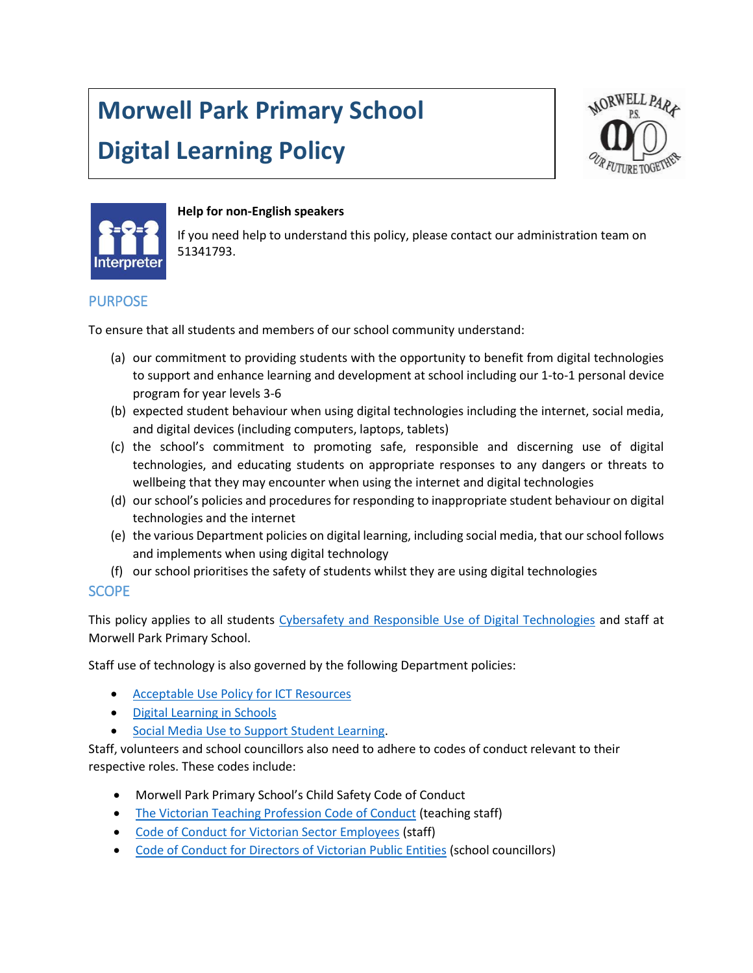# **Morwell Park Primary School**

# **Digital Learning Policy**





#### **Help for non-English speakers**

If you need help to understand this policy, please contact our administration team on 51341793.

## PURPOSE

To ensure that all students and members of our school community understand:

- (a) our commitment to providing students with the opportunity to benefit from digital technologies to support and enhance learning and development at school including our 1-to-1 personal device program for year levels 3-6
- (b) expected student behaviour when using digital technologies including the internet, social media, and digital devices (including computers, laptops, tablets)
- (c) the school's commitment to promoting safe, responsible and discerning use of digital technologies, and educating students on appropriate responses to any dangers or threats to wellbeing that they may encounter when using the internet and digital technologies
- (d) our school's policies and procedures for responding to inappropriate student behaviour on digital technologies and the internet
- (e) the various Department policies on digital learning, including social media, that our school follows and implements when using digital technology
- (f) our school prioritises the safety of students whilst they are using digital technologies

#### **SCOPE**

This policy applies to all students [Cybersafety and Responsible Use of Digital Technologies](https://www2.education.vic.gov.au/pal/cybersafety/policy) and staff at Morwell Park Primary School.

Staff use of technology is also governed by the following Department policies:

- [Acceptable Use Policy for ICT Resources](https://www2.education.vic.gov.au/pal/ict-acceptable-use/overview)
- [Digital Learning in Schools](https://www2.education.vic.gov.au/pal/digital-learning/policy)
- [Social Media Use to Support Student Learning.](https://www2.education.vic.gov.au/pal/social-media/policy)

Staff, volunteers and school councillors also need to adhere to codes of conduct relevant to their respective roles. These codes include:

- Morwell Park Primary School's Child Safety Code of Conduct
- [The Victorian Teaching Profession Code of Conduct](https://www.vit.vic.edu.au/__data/assets/pdf_file/0018/35604/Code-of-Conduct-2016.pdf) (teaching staff)
- [Code of Conduct for Victorian Sector Employees](https://www2.education.vic.gov.au/pal/code-conduct/overview) (staff)
- [Code of Conduct for Directors of Victorian](https://www2.education.vic.gov.au/pal/school-council-conduct/policy) Public Entities (school councillors)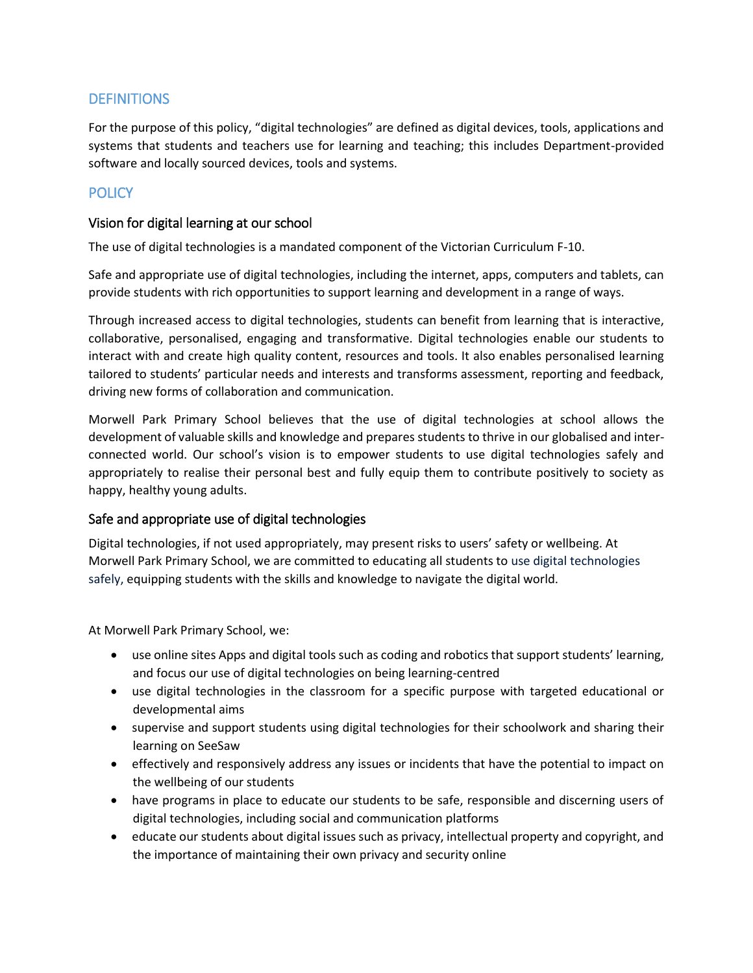## **DEFINITIONS**

For the purpose of this policy, "digital technologies" are defined as digital devices, tools, applications and systems that students and teachers use for learning and teaching; this includes Department-provided software and locally sourced devices, tools and systems.

# **POLICY**

#### Vision for digital learning at our school

The use of digital technologies is a mandated component of the Victorian Curriculum F-10.

Safe and appropriate use of digital technologies, including the internet, apps, computers and tablets, can provide students with rich opportunities to support learning and development in a range of ways.

Through increased access to digital technologies, students can benefit from learning that is interactive, collaborative, personalised, engaging and transformative. Digital technologies enable our students to interact with and create high quality content, resources and tools. It also enables personalised learning tailored to students' particular needs and interests and transforms assessment, reporting and feedback, driving new forms of collaboration and communication.

Morwell Park Primary School believes that the use of digital technologies at school allows the development of valuable skills and knowledge and prepares students to thrive in our globalised and interconnected world. Our school's vision is to empower students to use digital technologies safely and appropriately to realise their personal best and fully equip them to contribute positively to society as happy, healthy young adults.

#### Safe and appropriate use of digital technologies

Digital technologies, if not used appropriately, may present risks to users' safety or wellbeing. At Morwell Park Primary School, we are committed to educating all students to use digital technologies safely, equipping students with the skills and knowledge to navigate the digital world.

At Morwell Park Primary School, we:

- use online sites Apps and digital tools such as coding and robotics that support students' learning, and focus our use of digital technologies on being learning-centred
- use digital technologies in the classroom for a specific purpose with targeted educational or developmental aims
- supervise and support students using digital technologies for their schoolwork and sharing their learning on SeeSaw
- effectively and responsively address any issues or incidents that have the potential to impact on the wellbeing of our students
- have programs in place to educate our students to be safe, responsible and discerning users of digital technologies, including social and communication platforms
- educate our students about digital issues such as privacy, intellectual property and copyright, and the importance of maintaining their own privacy and security online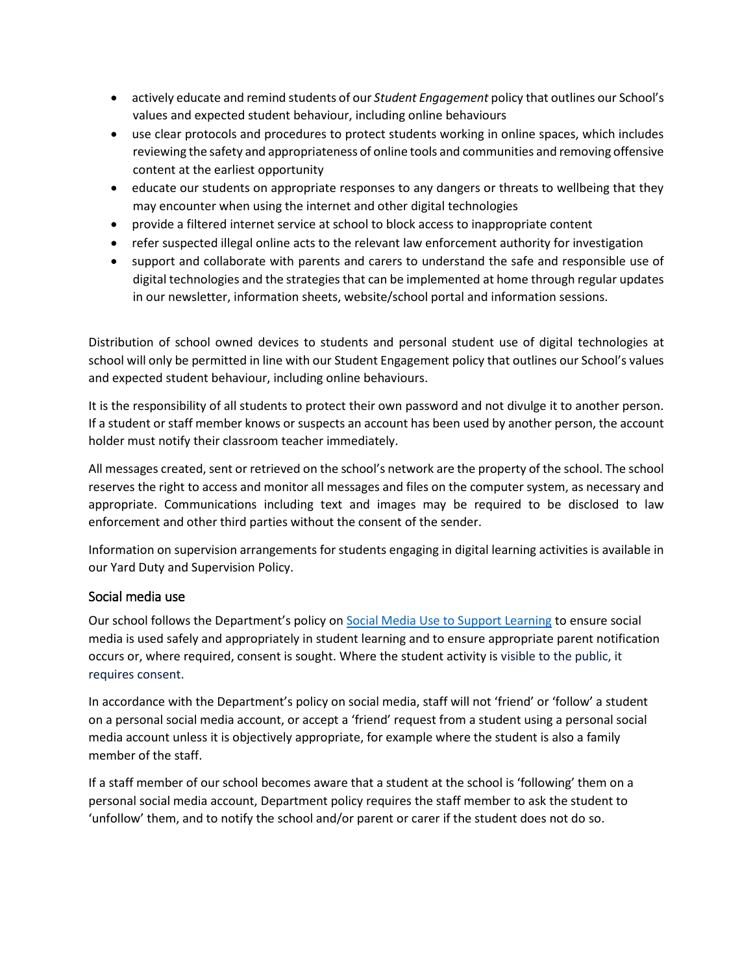- actively educate and remind students of our *Student Engagement* policy that outlines our School's values and expected student behaviour, including online behaviours
- use clear protocols and procedures to protect students working in online spaces, which includes reviewing the safety and appropriateness of online tools and communities and removing offensive content at the earliest opportunity
- educate our students on appropriate responses to any dangers or threats to wellbeing that they may encounter when using the internet and other digital technologies
- provide a filtered internet service at school to block access to inappropriate content
- refer suspected illegal online acts to the relevant law enforcement authority for investigation
- support and collaborate with parents and carers to understand the safe and responsible use of digital technologies and the strategies that can be implemented at home through regular updates in our newsletter, information sheets, website/school portal and information sessions.

Distribution of school owned devices to students and personal student use of digital technologies at school will only be permitted in line with our Student Engagement policy that outlines our School's values and expected student behaviour, including online behaviours.

It is the responsibility of all students to protect their own password and not divulge it to another person. If a student or staff member knows or suspects an account has been used by another person, the account holder must notify their classroom teacher immediately.

All messages created, sent or retrieved on the school's network are the property of the school. The school reserves the right to access and monitor all messages and files on the computer system, as necessary and appropriate. Communications including text and images may be required to be disclosed to law enforcement and other third parties without the consent of the sender.

Information on supervision arrangements for students engaging in digital learning activities is available in our Yard Duty and Supervision Policy.

#### Social media use

Our school follows the Department's policy on [Social Media Use to Support Learning](https://www2.education.vic.gov.au/pal/social-media/policy) to ensure social media is used safely and appropriately in student learning and to ensure appropriate parent notification occurs or, where required, consent is sought. Where the student activity is visible to the public, it requires consent.

In accordance with the Department's policy on social media, staff will not 'friend' or 'follow' a student on a personal social media account, or accept a 'friend' request from a student using a personal social media account unless it is objectively appropriate, for example where the student is also a family member of the staff.

If a staff member of our school becomes aware that a student at the school is 'following' them on a personal social media account, Department policy requires the staff member to ask the student to 'unfollow' them, and to notify the school and/or parent or carer if the student does not do so.